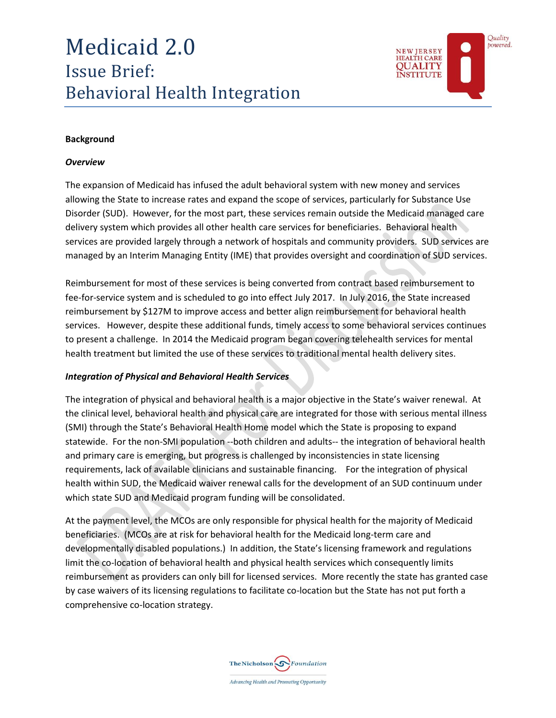# Medicaid 2.0 Issue Brief: Behavioral Health Integration



#### **Background**

#### *Overview*

The expansion of Medicaid has infused the adult behavioral system with new money and services allowing the State to increase rates and expand the scope of services, particularly for Substance Use Disorder (SUD). However, for the most part, these services remain outside the Medicaid managed care delivery system which provides all other health care services for beneficiaries. Behavioral health services are provided largely through a network of hospitals and community providers. SUD services are managed by an Interim Managing Entity (IME) that provides oversight and coordination of SUD services.

Reimbursement for most of these services is being converted from contract based reimbursement to fee-for-service system and is scheduled to go into effect July 2017. In July 2016, the State increased reimbursement by \$127M to improve access and better align reimbursement for behavioral health services. However, despite these additional funds, timely access to some behavioral services continues to present a challenge. In 2014 the Medicaid program began covering telehealth services for mental health treatment but limited the use of these services to traditional mental health delivery sites.

#### *Integration of Physical and Behavioral Health Services*

The integration of physical and behavioral health is a major objective in the State's waiver renewal. At the clinical level, behavioral health and physical care are integrated for those with serious mental illness (SMI) through the State's Behavioral Health Home model which the State is proposing to expand statewide. For the non-SMI population --both children and adults-- the integration of behavioral health and primary care is emerging, but progress is challenged by inconsistencies in state licensing requirements, lack of available clinicians and sustainable financing. For the integration of physical health within SUD, the Medicaid waiver renewal calls for the development of an SUD continuum under which state SUD and Medicaid program funding will be consolidated.

At the payment level, the MCOs are only responsible for physical health for the majority of Medicaid beneficiaries. (MCOs are at risk for behavioral health for the Medicaid long-term care and developmentally disabled populations.) In addition, the State's licensing framework and regulations limit the co-location of behavioral health and physical health services which consequently limits reimbursement as providers can only bill for licensed services. More recently the state has granted case by case waivers of its licensing regulations to facilitate co-location but the State has not put forth a comprehensive co-location strategy.

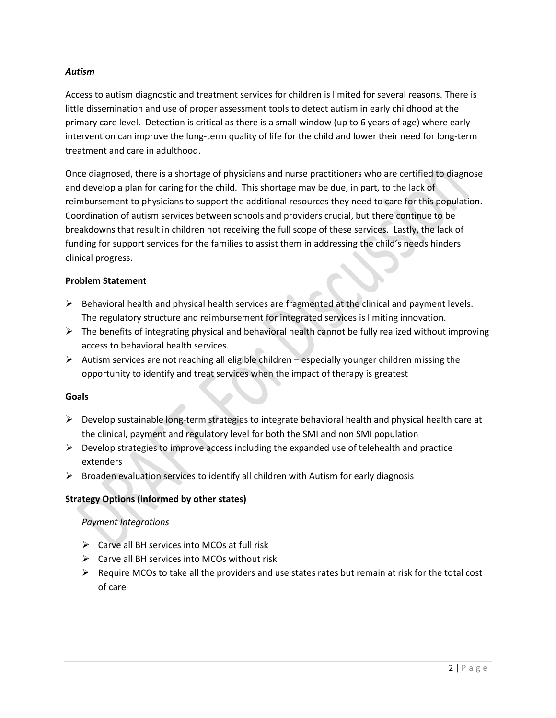## *Autism*

Access to autism diagnostic and treatment services for children is limited for several reasons. There is little dissemination and use of proper assessment tools to detect autism in early childhood at the primary care level. Detection is critical as there is a small window (up to 6 years of age) where early intervention can improve the long-term quality of life for the child and lower their need for long-term treatment and care in adulthood.

Once diagnosed, there is a shortage of physicians and nurse practitioners who are certified to diagnose and develop a plan for caring for the child. This shortage may be due, in part, to the lack of reimbursement to physicians to support the additional resources they need to care for this population. Coordination of autism services between schools and providers crucial, but there continue to be breakdowns that result in children not receiving the full scope of these services. Lastly, the lack of funding for support services for the families to assist them in addressing the child's needs hinders clinical progress.

#### **Problem Statement**

- $\triangleright$  Behavioral health and physical health services are fragmented at the clinical and payment levels. The regulatory structure and reimbursement for integrated services is limiting innovation.
- $\triangleright$  The benefits of integrating physical and behavioral health cannot be fully realized without improving access to behavioral health services.
- $\triangleright$  Autism services are not reaching all eligible children especially younger children missing the opportunity to identify and treat services when the impact of therapy is greatest

#### **Goals**

- $\triangleright$  Develop sustainable long-term strategies to integrate behavioral health and physical health care at the clinical, payment and regulatory level for both the SMI and non SMI population
- $\triangleright$  Develop strategies to improve access including the expanded use of telehealth and practice extenders
- $\triangleright$  Broaden evaluation services to identify all children with Autism for early diagnosis

# **Strategy Options (informed by other states)**

# *Payment Integrations*

- $\triangleright$  Carve all BH services into MCOs at full risk
- $\triangleright$  Carve all BH services into MCOs without risk
- $\triangleright$  Require MCOs to take all the providers and use states rates but remain at risk for the total cost of care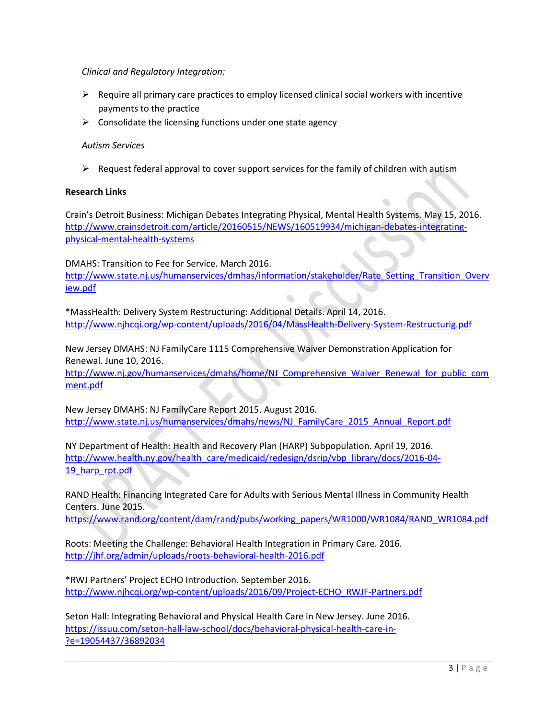## *Clinical and Regulatory Integration:*

- $\triangleright$  Require all primary care practices to employ licensed clinical social workers with incentive payments to the practice
- $\triangleright$  Consolidate the licensing functions under one state agency

#### *Autism Services*

 $\triangleright$  Request federal approval to cover support services for the family of children with autism

#### **Research Links**

Crain's Detroit Business: Michigan Debates Integrating Physical, Mental Health Systems. May 15, 2016. [http://www.crainsdetroit.com/article/20160515/NEWS/160519934/michigan-debates-integrating](http://www.crainsdetroit.com/article/20160515/NEWS/160519934/michigan-debates-integrating-physical-mental-health-systems)[physical-mental-health-systems](http://www.crainsdetroit.com/article/20160515/NEWS/160519934/michigan-debates-integrating-physical-mental-health-systems)

DMAHS: Transition to Fee for Service. March 2016. [http://www.state.nj.us/humanservices/dmhas/information/stakeholder/Rate\\_Setting\\_Transition\\_Overv](http://www.state.nj.us/humanservices/dmhas/information/stakeholder/Rate_Setting_Transition_Overview.pdf) [iew.pdf](http://www.state.nj.us/humanservices/dmhas/information/stakeholder/Rate_Setting_Transition_Overview.pdf)

\*MassHealth: Delivery System Restructuring: Additional Details. April 14, 2016. <http://www.njhcqi.org/wp-content/uploads/2016/04/MassHealth-Delivery-System-Restructurig.pdf>

New Jersey DMAHS: NJ FamilyCare 1115 Comprehensive Waiver Demonstration Application for Renewal. June 10, 2016.

[http://www.nj.gov/humanservices/dmahs/home/NJ\\_Comprehensive\\_Waiver\\_Renewal\\_for\\_public\\_com](http://www.nj.gov/humanservices/dmahs/home/NJ_Comprehensive_Waiver_Renewal_for_public_comment.pdf) [ment.pdf](http://www.nj.gov/humanservices/dmahs/home/NJ_Comprehensive_Waiver_Renewal_for_public_comment.pdf)

New Jersey DMAHS: NJ FamilyCare Report 2015. August 2016. [http://www.state.nj.us/humanservices/dmahs/news/NJ\\_FamilyCare\\_2015\\_Annual\\_Report.pdf](http://www.state.nj.us/humanservices/dmahs/news/NJ_FamilyCare_2015_Annual_Report.pdf)

NY Department of Health: Health and Recovery Plan (HARP) Subpopulation. April 19, 2016. [http://www.health.ny.gov/health\\_care/medicaid/redesign/dsrip/vbp\\_library/docs/2016-04-](http://www.health.ny.gov/health_care/medicaid/redesign/dsrip/vbp_library/docs/2016-04-19_harp_rpt.pdf) 19 harp rpt.pdf

RAND Health: Financing Integrated Care for Adults with Serious Mental Illness in Community Health Centers. June 2015.

[https://www.rand.org/content/dam/rand/pubs/working\\_papers/WR1000/WR1084/RAND\\_WR1084.pdf](https://www.rand.org/content/dam/rand/pubs/working_papers/WR1000/WR1084/RAND_WR1084.pdf)

Roots: Meeting the Challenge: Behavioral Health Integration in Primary Care. 2016. <http://jhf.org/admin/uploads/roots-behavioral-health-2016.pdf>

\*RWJ Partners' Project ECHO Introduction. September 2016. [http://www.njhcqi.org/wp-content/uploads/2016/09/Project-ECHO\\_RWJF-Partners.pdf](http://www.njhcqi.org/wp-content/uploads/2016/09/Project-ECHO_RWJF-Partners.pdf)

Seton Hall: Integrating Behavioral and Physical Health Care in New Jersey. June 2016. [https://issuu.com/seton-hall-law-school/docs/behavioral-physical-health-care-in-](https://issuu.com/seton-hall-law-school/docs/behavioral-physical-health-care-in-?e=19054437/36892034) [?e=19054437/36892034](https://issuu.com/seton-hall-law-school/docs/behavioral-physical-health-care-in-?e=19054437/36892034)